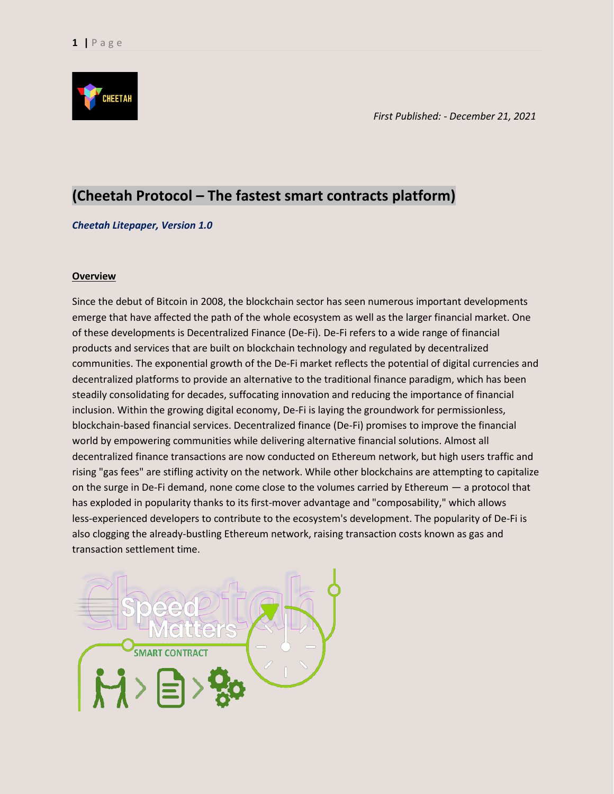

*First Published: - December 21, 2021*

### **(Cheetah Protocol – The fastest smart contracts platform)**

### *Cheetah Litepaper, Version 1.0*

### **Overview**

Since the debut of Bitcoin in 2008, the blockchain sector has seen numerous important developments emerge that have affected the path of the whole ecosystem as well as the larger financial market. One of these developments is Decentralized Finance (De-Fi). De-Fi refers to a wide range of financial products and services that are built on blockchain technology and regulated by decentralized communities. The exponential growth of the De-Fi market reflects the potential of digital currencies and decentralized platforms to provide an alternative to the traditional finance paradigm, which has been steadily consolidating for decades, suffocating innovation and reducing the importance of financial inclusion. Within the growing digital economy, De-Fi is laying the groundwork for permissionless, blockchain-based financial services. Decentralized finance (De-Fi) promises to improve the financial world by empowering communities while delivering alternative financial solutions. Almost all decentralized finance transactions are now conducted on Ethereum network, but high users traffic and rising "gas fees" are stifling activity on the network. While other blockchains are attempting to capitalize on the surge in De-Fi demand, none come close to the volumes carried by Ethereum — a protocol that has exploded in popularity thanks to its first-mover advantage and "composability," which allows less-experienced developers to contribute to the ecosystem's development. The popularity of De-Fi is also clogging the already-bustling Ethereum network, raising transaction costs known as gas and transaction settlement time.

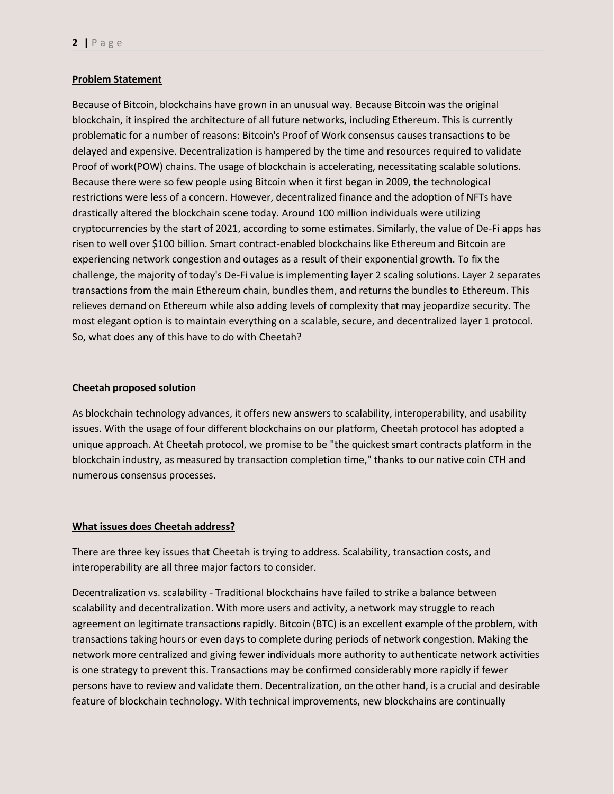### **Problem Statement**

Because of Bitcoin, blockchains have grown in an unusual way. Because Bitcoin was the original blockchain, it inspired the architecture of all future networks, including Ethereum. This is currently problematic for a number of reasons: Bitcoin's Proof of Work consensus causes transactions to be delayed and expensive. Decentralization is hampered by the time and resources required to validate Proof of work(POW) chains. The usage of blockchain is accelerating, necessitating scalable solutions. Because there were so few people using Bitcoin when it first began in 2009, the technological restrictions were less of a concern. However, decentralized finance and the adoption of NFTs have drastically altered the blockchain scene today. Around 100 million individuals were utilizing cryptocurrencies by the start of 2021, according to some estimates. Similarly, the value of De-Fi apps has risen to well over \$100 billion. Smart contract-enabled blockchains like Ethereum and Bitcoin are experiencing network congestion and outages as a result of their exponential growth. To fix the challenge, the majority of today's De-Fi value is implementing layer 2 scaling solutions. Layer 2 separates transactions from the main Ethereum chain, bundles them, and returns the bundles to Ethereum. This relieves demand on Ethereum while also adding levels of complexity that may jeopardize security. The most elegant option is to maintain everything on a scalable, secure, and decentralized layer 1 protocol. So, what does any of this have to do with Cheetah?

### **Cheetah proposed solution**

As blockchain technology advances, it offers new answers to scalability, interoperability, and usability issues. With the usage of four different blockchains on our platform, Cheetah protocol has adopted a unique approach. At Cheetah protocol, we promise to be "the quickest smart contracts platform in the blockchain industry, as measured by transaction completion time," thanks to our native coin CTH and numerous consensus processes.

### **What issues does Cheetah address?**

There are three key issues that Cheetah is trying to address. Scalability, transaction costs, and interoperability are all three major factors to consider.

Decentralization vs. scalability - Traditional blockchains have failed to strike a balance between scalability and decentralization. With more users and activity, a network may struggle to reach agreement on legitimate transactions rapidly. Bitcoin (BTC) is an excellent example of the problem, with transactions taking hours or even days to complete during periods of network congestion. Making the network more centralized and giving fewer individuals more authority to authenticate network activities is one strategy to prevent this. Transactions may be confirmed considerably more rapidly if fewer persons have to review and validate them. Decentralization, on the other hand, is a crucial and desirable feature of blockchain technology. With technical improvements, new blockchains are continually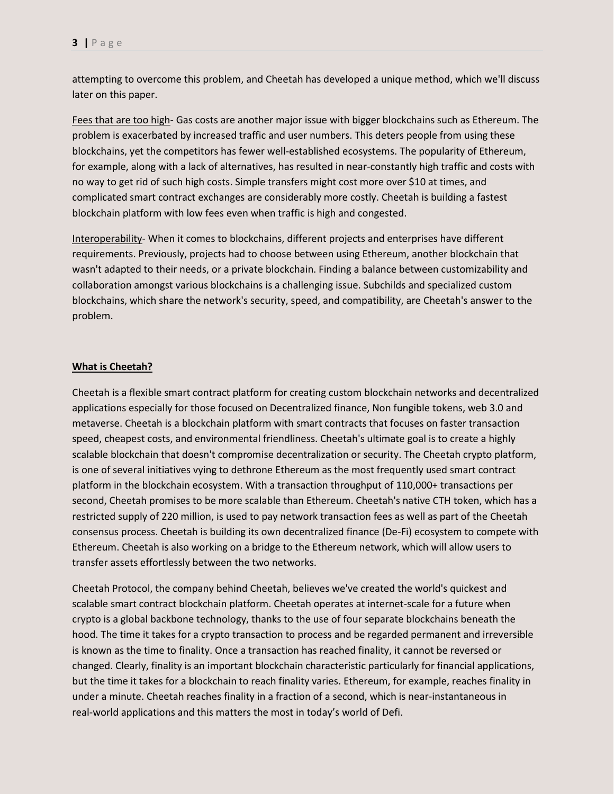attempting to overcome this problem, and Cheetah has developed a unique method, which we'll discuss later on this paper.

Fees that are too high- Gas costs are another major issue with bigger blockchains such as Ethereum. The problem is exacerbated by increased traffic and user numbers. This deters people from using these blockchains, yet the competitors has fewer well-established ecosystems. The popularity of Ethereum, for example, along with a lack of alternatives, has resulted in near-constantly high traffic and costs with no way to get rid of such high costs. Simple transfers might cost more over \$10 at times, and complicated smart contract exchanges are considerably more costly. Cheetah is building a fastest blockchain platform with low fees even when traffic is high and congested.

Interoperability- When it comes to blockchains, different projects and enterprises have different requirements. Previously, projects had to choose between using Ethereum, another blockchain that wasn't adapted to their needs, or a private blockchain. Finding a balance between customizability and collaboration amongst various blockchains is a challenging issue. Subchilds and specialized custom blockchains, which share the network's security, speed, and compatibility, are Cheetah's answer to the problem.

#### **What is Cheetah?**

Cheetah is a flexible smart contract platform for creating custom blockchain networks and decentralized applications especially for those focused on Decentralized finance, Non fungible tokens, web 3.0 and metaverse. Cheetah is a blockchain platform with smart contracts that focuses on faster transaction speed, cheapest costs, and environmental friendliness. Cheetah's ultimate goal is to create a highly scalable blockchain that doesn't compromise decentralization or security. The Cheetah crypto platform, is one of several initiatives vying to dethrone Ethereum as the most frequently used smart contract platform in the blockchain ecosystem. With a transaction throughput of 110,000+ transactions per second, Cheetah promises to be more scalable than Ethereum. Cheetah's native CTH token, which has a restricted supply of 220 million, is used to pay network transaction fees as well as part of the Cheetah consensus process. Cheetah is building its own decentralized finance (De-Fi) ecosystem to compete with Ethereum. Cheetah is also working on a bridge to the Ethereum network, which will allow users to transfer assets effortlessly between the two networks.

Cheetah Protocol, the company behind Cheetah, believes we've created the world's quickest and scalable smart contract blockchain platform. Cheetah operates at internet-scale for a future when crypto is a global backbone technology, thanks to the use of four separate blockchains beneath the hood. The time it takes for a crypto transaction to process and be regarded permanent and irreversible is known as the time to finality. Once a transaction has reached finality, it cannot be reversed or changed. Clearly, finality is an important blockchain characteristic particularly for financial applications, but the time it takes for a blockchain to reach finality varies. Ethereum, for example, reaches finality in under a minute. Cheetah reaches finality in a fraction of a second, which is near-instantaneous in real-world applications and this matters the most in today's world of Defi.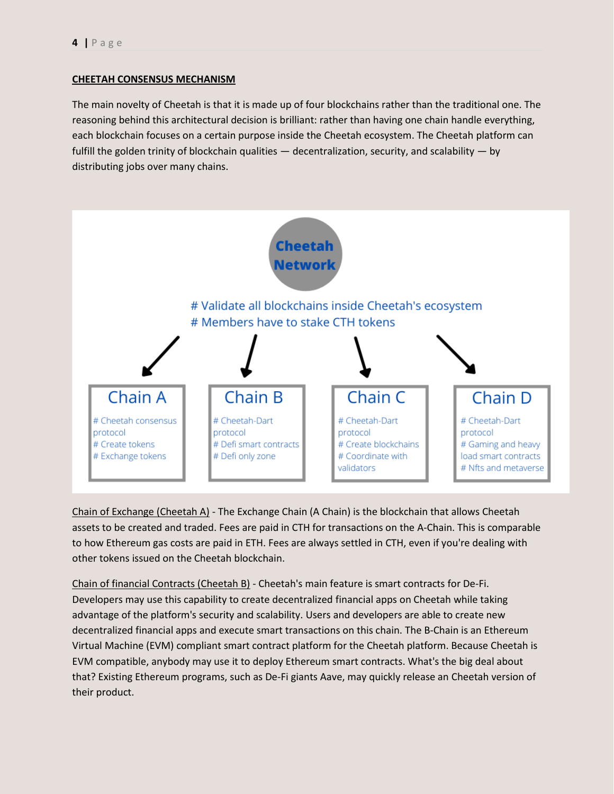### **CHEETAH CONSENSUS MECHANISM**

The main novelty of Cheetah is that it is made up of four blockchains rather than the traditional one. The reasoning behind this architectural decision is brilliant: rather than having one chain handle everything, each blockchain focuses on a certain purpose inside the Cheetah ecosystem. The Cheetah platform can fulfill the golden trinity of blockchain qualities — decentralization, security, and scalability — by distributing jobs over many chains.



Chain of Exchange (Cheetah A) - The Exchange Chain (A Chain) is the blockchain that allows Cheetah assets to be created and traded. Fees are paid in CTH for transactions on the A-Chain. This is comparable to how Ethereum gas costs are paid in ETH. Fees are always settled in CTH, even if you're dealing with other tokens issued on the Cheetah blockchain.

Chain of financial Contracts (Cheetah B) - Cheetah's main feature is smart contracts for De-Fi. Developers may use this capability to create decentralized financial apps on Cheetah while taking advantage of the platform's security and scalability. Users and developers are able to create new decentralized financial apps and execute smart transactions on this chain. The B-Chain is an Ethereum Virtual Machine (EVM) compliant smart contract platform for the Cheetah platform. Because Cheetah is EVM compatible, anybody may use it to deploy Ethereum smart contracts. What's the big deal about that? Existing Ethereum programs, such as De-Fi giants Aave, may quickly release an Cheetah version of their product.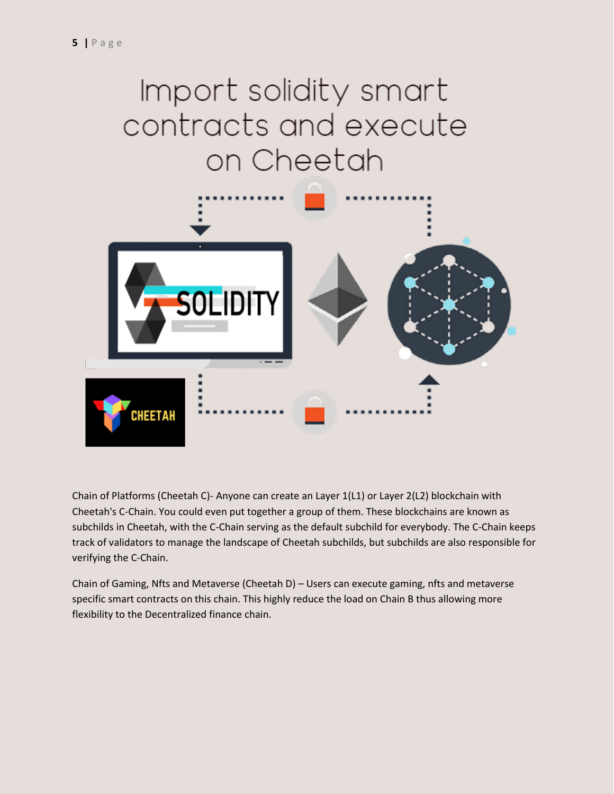# Import solidity smart contracts and execute on Cheetah



Chain of Platforms (Cheetah C)- Anyone can create an Layer 1(L1) or Layer 2(L2) blockchain with Cheetah's C-Chain. You could even put together a group of them. These blockchains are known as subchilds in Cheetah, with the C-Chain serving as the default subchild for everybody. The C-Chain keeps track of validators to manage the landscape of Cheetah subchilds, but subchilds are also responsible for verifying the C-Chain.

Chain of Gaming, Nfts and Metaverse (Cheetah D) – Users can execute gaming, nfts and metaverse specific smart contracts on this chain. This highly reduce the load on Chain B thus allowing more flexibility to the Decentralized finance chain.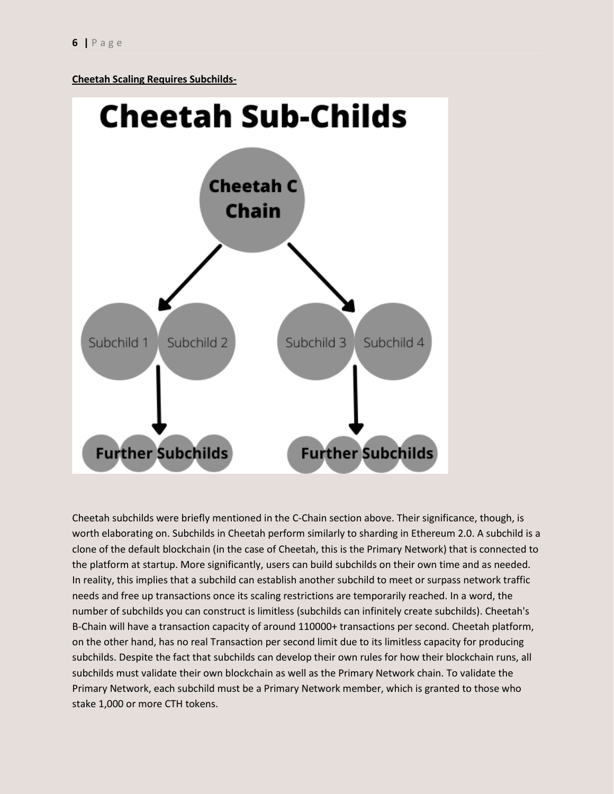**Cheetah Scaling Requires Subchilds-**



Cheetah subchilds were briefly mentioned in the C-Chain section above. Their significance, though, is worth elaborating on. Subchilds in Cheetah perform similarly to sharding in Ethereum 2.0. A subchild is a clone of the default blockchain (in the case of Cheetah, this is the Primary Network) that is connected to the platform at startup. More significantly, users can build subchilds on their own time and as needed. In reality, this implies that a subchild can establish another subchild to meet or surpass network traffic needs and free up transactions once its scaling restrictions are temporarily reached. In a word, the number of subchilds you can construct is limitless (subchilds can infinitely create subchilds). Cheetah's B-Chain will have a transaction capacity of around 110000+ transactions per second. Cheetah platform, on the other hand, has no real Transaction per second limit due to its limitless capacity for producing subchilds. Despite the fact that subchilds can develop their own rules for how their blockchain runs, all subchilds must validate their own blockchain as well as the Primary Network chain. To validate the Primary Network, each subchild must be a Primary Network member, which is granted to those who stake 1,000 or more CTH tokens.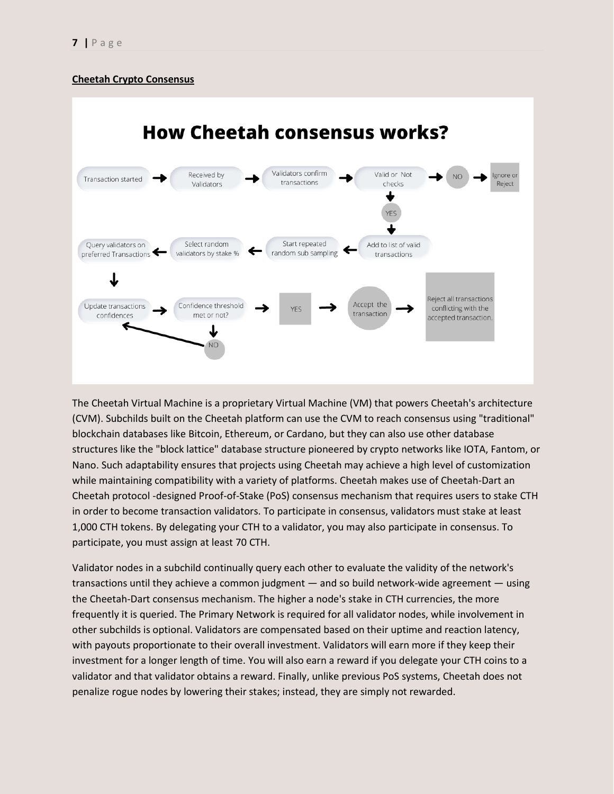### **Cheetah Crypto Consensus**



The Cheetah Virtual Machine is a proprietary Virtual Machine (VM) that powers Cheetah's architecture (CVM). Subchilds built on the Cheetah platform can use the CVM to reach consensus using "traditional" blockchain databases like Bitcoin, Ethereum, or Cardano, but they can also use other database structures like the "block lattice" database structure pioneered by crypto networks like IOTA, Fantom, or Nano. Such adaptability ensures that projects using Cheetah may achieve a high level of customization while maintaining compatibility with a variety of platforms. Cheetah makes use of Cheetah-Dart an Cheetah protocol -designed Proof-of-Stake (PoS) consensus mechanism that requires users to stake CTH in order to become transaction validators. To participate in consensus, validators must stake at least 1,000 CTH tokens. By delegating your CTH to a validator, you may also participate in consensus. To participate, you must assign at least 70 CTH.

Validator nodes in a subchild continually query each other to evaluate the validity of the network's transactions until they achieve a common judgment — and so build network-wide agreement — using the Cheetah-Dart consensus mechanism. The higher a node's stake in CTH currencies, the more frequently it is queried. The Primary Network is required for all validator nodes, while involvement in other subchilds is optional. Validators are compensated based on their uptime and reaction latency, with payouts proportionate to their overall investment. Validators will earn more if they keep their investment for a longer length of time. You will also earn a reward if you delegate your CTH coins to a validator and that validator obtains a reward. Finally, unlike previous PoS systems, Cheetah does not penalize rogue nodes by lowering their stakes; instead, they are simply not rewarded.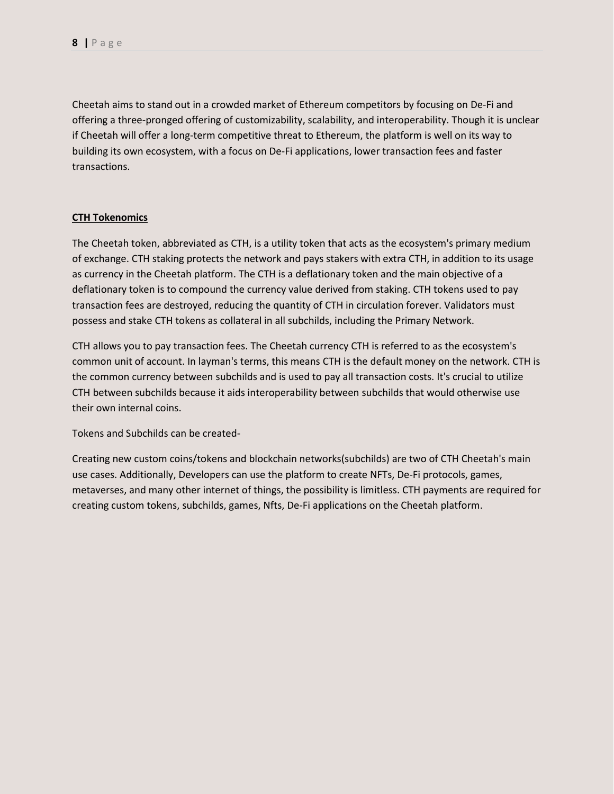Cheetah aims to stand out in a crowded market of Ethereum competitors by focusing on De-Fi and offering a three-pronged offering of customizability, scalability, and interoperability. Though it is unclear if Cheetah will offer a long-term competitive threat to Ethereum, the platform is well on its way to building its own ecosystem, with a focus on De-Fi applications, lower transaction fees and faster transactions.

### **CTH Tokenomics**

The Cheetah token, abbreviated as CTH, is a utility token that acts as the ecosystem's primary medium of exchange. CTH staking protects the network and pays stakers with extra CTH, in addition to its usage as currency in the Cheetah platform. The CTH is a deflationary token and the main objective of a deflationary token is to compound the currency value derived from staking. CTH tokens used to pay transaction fees are destroyed, reducing the quantity of CTH in circulation forever. Validators must possess and stake CTH tokens as collateral in all subchilds, including the Primary Network.

CTH allows you to pay transaction fees. The Cheetah currency CTH is referred to as the ecosystem's common unit of account. In layman's terms, this means CTH is the default money on the network. CTH is the common currency between subchilds and is used to pay all transaction costs. It's crucial to utilize CTH between subchilds because it aids interoperability between subchilds that would otherwise use their own internal coins.

Tokens and Subchilds can be created-

Creating new custom coins/tokens and blockchain networks(subchilds) are two of CTH Cheetah's main use cases. Additionally, Developers can use the platform to create NFTs, De-Fi protocols, games, metaverses, and many other internet of things, the possibility is limitless. CTH payments are required for creating custom tokens, subchilds, games, Nfts, De-Fi applications on the Cheetah platform.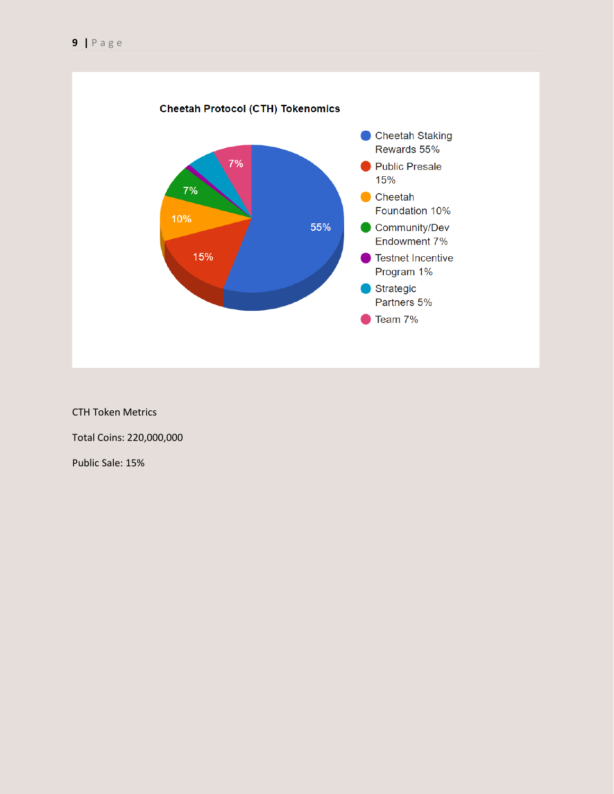

CTH Token Metrics

Total Coins: 220,000,000

Public Sale: 15%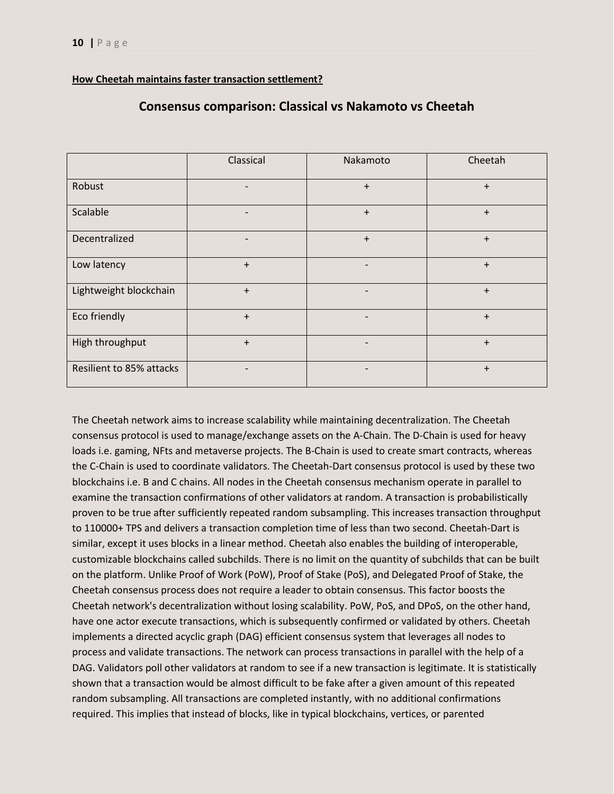### **How Cheetah maintains faster transaction settlement?**

|                          | Classical | Nakamoto                     | Cheetah   |
|--------------------------|-----------|------------------------------|-----------|
| Robust                   |           | $\ddot{}$                    | $+$       |
| Scalable                 |           | $+$                          | $\ddot{}$ |
| Decentralized            |           | $\ddot{}$                    | $\ddot{}$ |
| Low latency              | $\ddot{}$ |                              | $\ddot{}$ |
| Lightweight blockchain   | $\ddot{}$ | $\overline{a}$               | $\ddot{}$ |
| Eco friendly             | $+$       | $\overline{\phantom{a}}$     | $+$       |
| High throughput          | $+$       | $\qquad \qquad \blacksquare$ | $+$       |
| Resilient to 85% attacks |           |                              | $\ddot{}$ |

### **Consensus comparison: Classical vs Nakamoto vs Cheetah**

The Cheetah network aims to increase scalability while maintaining decentralization. The Cheetah consensus protocol is used to manage/exchange assets on the A-Chain. The D-Chain is used for heavy loads i.e. gaming, NFts and metaverse projects. The B-Chain is used to create smart contracts, whereas the C-Chain is used to coordinate validators. The Cheetah-Dart consensus protocol is used by these two blockchains i.e. B and C chains. All nodes in the Cheetah consensus mechanism operate in parallel to examine the transaction confirmations of other validators at random. A transaction is probabilistically proven to be true after sufficiently repeated random subsampling. This increases transaction throughput to 110000+ TPS and delivers a transaction completion time of less than two second. Cheetah-Dart is similar, except it uses blocks in a linear method. Cheetah also enables the building of interoperable, customizable blockchains called subchilds. There is no limit on the quantity of subchilds that can be built on the platform. Unlike Proof of Work (PoW), Proof of Stake (PoS), and Delegated Proof of Stake, the Cheetah consensus process does not require a leader to obtain consensus. This factor boosts the Cheetah network's decentralization without losing scalability. PoW, PoS, and DPoS, on the other hand, have one actor execute transactions, which is subsequently confirmed or validated by others. Cheetah implements a directed acyclic graph (DAG) efficient consensus system that leverages all nodes to process and validate transactions. The network can process transactions in parallel with the help of a DAG. Validators poll other validators at random to see if a new transaction is legitimate. It is statistically shown that a transaction would be almost difficult to be fake after a given amount of this repeated random subsampling. All transactions are completed instantly, with no additional confirmations required. This implies that instead of blocks, like in typical blockchains, vertices, or parented